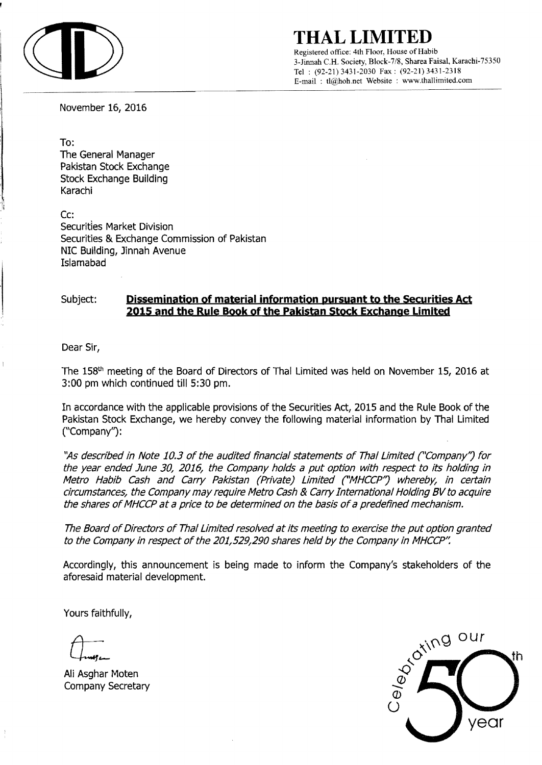

**THAL LIMITED** 

Registered office: 4th Floor, House of Habib 3-Jinnah C.R. Society, Block-7/8, Sharea Faisal, Karachi-75350 Tel: (92-21) 3431-2030 Fax: (92-21) 3431-2318 E-mail: tl@hoh.net Website : www.thallimited.com

November 16, 2016

To:

The General Manager Pakistan Stock Exchange Stock Exchange Building Karachi

Cc: Securities Market Division Securities & Exchange Commission of Pakistan NIC Building, Jinnah Avenue Islamabad

## Subject: **Dissemination of material information pursuant to the Securities Act 2015 and the Rule Book of the Pakistan Stock Exchange Limited**

Dear Sir,

The 158<sup>th</sup> meeting of the Board of Directors of Thal Limited was held on November 15, 2016 at 3:00 pm which continued till 5:30 pm.

In accordance with the applicable provisions of the Securities Act, 2015 and the Rule Book of the Pakistan Stock Exchange, we hereby convey the following material information by Thai Limited C'Company") :

"As described in Note 10.3 of the audited financial statements of Thal Limited ("Company") for the year ended June 30, 2016, the Company holds a put option with respect to its holding in Metro Habib Cash and Carry Pakistan (Private) Limited ("MHCCP") whereby, in certain circumstances, the Company may require Metro Cash & Carry International Holding BV to acquire the shares of MHCCP at a price to be determined on the basis of a predefined mechanism.

The Board of Directors of ThaI Limited resolved at its meeting to exercise the put option granted to the Company in respect of the 201,529,290 shares held by the Company in MHCCP".

Accordingly, this announcement is being made to inform the Company's stakeholders of the aforesaid material development.

Yours faithfully,

Ali Asghar Moten Company Secretary

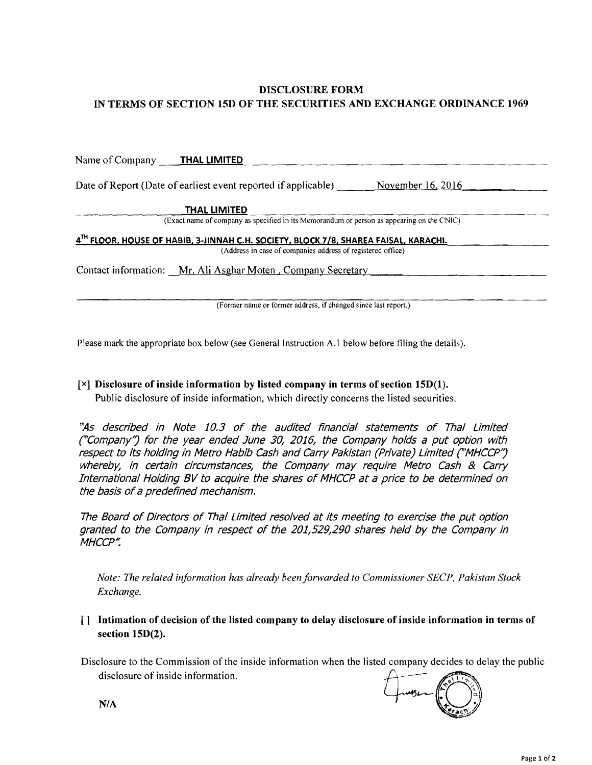## DISCLOSURE FORM IN TERMS OF SECTION 15D OF THE SECURITIES AND EXCHANGE ORDINANCE 1969

| Name of Company THAL LIMITED                                                              |                                                                                      |                     |  |
|-------------------------------------------------------------------------------------------|--------------------------------------------------------------------------------------|---------------------|--|
|                                                                                           | Date of Report (Date of earliest event reported if applicable)                       | November $16, 2016$ |  |
|                                                                                           | <b>THAL LIMITED</b>                                                                  |                     |  |
| (Exact name of company as specified in its Memorandum or person as appearing on the CNIC) |                                                                                      |                     |  |
|                                                                                           | 4TH FLOOR, HOUSE OF HABIB, 3-JINNAH C.H. SOCIETY, BLOCK 7/8, SHAREA FAISAL, KARACHI. |                     |  |
|                                                                                           | (Address in case of companies address of registered office)                          |                     |  |
|                                                                                           | Contact information: Mr. Ali Asghar Moten, Company Secretary                         |                     |  |
|                                                                                           |                                                                                      |                     |  |
|                                                                                           |                                                                                      |                     |  |

(Former name or former address, if changed since last report.)

Please mark the appropriate box below (see General Instruction A.I below before filing the details).

## [x] Disclosure of inside information by listed company in terms of section 15D(I).

Public disclosure of inside information, which directly concerns the listed securities.

"As described in Note 10.3 of the audited financial statements of Thal Limited ("Company/j for the year ended June 30/ 2016/ the Company holds a put option with respect to its holding in Metro Habib Cash and Carry Pakistan (Private) Limited ("MHCCP") whereby, in certain circumstances, the Company may require Metro Cash & Carry International Holding BV to acquire the shares of MHCCP at a price to *be* determined on the basis of a predefined mechanism.

The Board of Directors of ThaI Limited resolved at its meeting to exercise the put option granted to the Company in respect of the 201/529/290 shares held by the Company in MHCCP".

*Note: The related information has already beenforwarded to Commissioner SECP, Pakistan Stock Exchange.* 

- [] Intimation of decision of the listed com pany to delay disclosure of inside information in terms of section 15D(2).
- Disclosure to the Commission of the inside information when the listed company decides to delay the public disclosure of inside information.



N/A